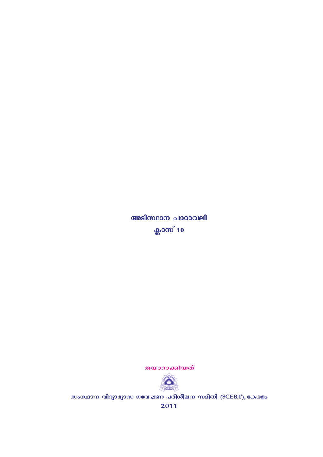തയാറാക്കിയത്



സംസ്ഥാന വിദ്യാഭ്യാസ ഗവേഷണ പരിശീലന സമിതി (SCERT), കേരളം

2011

അടിസ്ഥാന പാഠാവലി ക്ലാസ് 10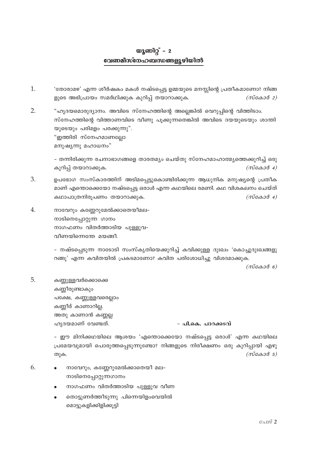# യൂണിറ്റ് –  $2$ വേണമീസ്നേഹബന്ധങ്ങളൂഴിയിൽ

- $\mathbf{1}$ 'തോരാമഴ' എന്ന ശീർഷകം മകൾ നഷ്ടപ്പെട്ട ഉമ്മയുടെ മനസ്സിന്റെ പ്രതീകമാണോ? നിങ്ങ ളുടെ അഭിപ്രായം സമർഥിക്കുക കുറിപ്പ് തയാറാക്കുക.  $(m\tilde{c} \omega \omega \tilde{d}$  2)
- $\overline{2}$ . "ഹൃദയമൊരുദ്യാനം. അവിടെ സ്നേഹത്തിന്റെ അല്ലെങ്കിൽ വെറുപ്പിന്റെ വിത്തിടാം. സ്നേഹത്തിന്റെ വിത്താണവിടെ വീണു പുക്കുന്നതെങ്കിൽ അവിടെ ദയയുടെയും ശാന്തി യുടെയും പരിമളം പരക്കുന്നു".

"ഇത്തിരി സ്നേഹമാണല്ലോ

മനുഷ്യന്നു മഹാധനം"

- തന്നിരിക്കുന്ന രചനാഭാഗങ്ങളെ താരതമ്യം ചെയ്തു സ്നേഹമാഹാത്മ്യത്തെക്കുറിച്ച് ഒരു  $(m\tilde{c} \omega \omega \tilde{d}$  4) കുറിപ്പ് തയാറാക്കുക.

- 3. ഉപഭോഗ സംസ്കാരത്തിന് അടിമപ്പെട്ടുകൊണ്ടിരിക്കുന്ന ആധുനിക മനുഷ്യന്റെ പ്രതീക മാണ് എന്തൊക്കെയോ നഷ്ടപ്പെട്ട ഒരാൾ എന്ന കഥയിലെ രമണി. കഥ വിശകലനം ചെയ്ത് കഥാപാത്രനിരൂപണം തയാറാക്കുക.  $(m \cos \theta 4)$
- $\overline{4}$ . നാവേറും കണ്ണേറുമേൽക്കാതെയീമല-നാടിനെപ്പോറ്റുന്ന ഗാനം നാഗഫണം വിതർത്താടിയ പുള്ളുവ-വീണയിന്നെന്തേ മയങ്ങീ.

– നഷ്ടപ്പെടുന്ന നാടോടി സംസ്കൃതിയെക്കുറിച്ച് കവിക്കുള്ള ദുഃഖം 'കൊച്ചുദുഃഖങ്ങളു റങ്ങു' എന്ന കവിതയിൽ പ്രകടമാണോ? കവിത പരിശോധിച്ചു വിശദമാക്കുക.

 $(m \cos \theta)$ 

5. കണ്ണുള്ളവർക്കൊക്കെ കണ്ണീരുണ്ടാകും പക്ഷേ, കണ്ണുള്ളവരെല്ലാം കണ്ണീര് കാണാറില്ല. അതു കാണാൻ കണ്ണല്ല ഹൃദയമാണ് വേണ്ടത്.

- പി.കെ. പാറക്കടവ്

- ഈ മിനിക്കഥയിലെ ആശയം 'എന്തൊക്കെയോ നഷ്ടപ്പെട്ട ഒരാൾ' എന്ന കഥയിലെ പ്രമേയവുമായി പൊരുത്തപ്പെടുന്നുണ്ടോ? നിങ്ങളുടെ നിരീക്ഷണം ഒരു കുറിപ്പായി എഴു  $(m\cos\theta - \sin\theta)$ തുക.

- 6. നാവേറും, കണ്ണേറുമേൽക്കാതെയീ മല-നാടിനെപ്പോറ്റുന്നഗാനം
	- നാഗഫണം വിതർത്താടിയ പുള്ളുവ വീണ
	- തൊട്ടുണർത്തീടുന്നു പിന്നെയിളംവെയിൽ മൊട്ടുകളിക്കിളിക്കൂട്ടി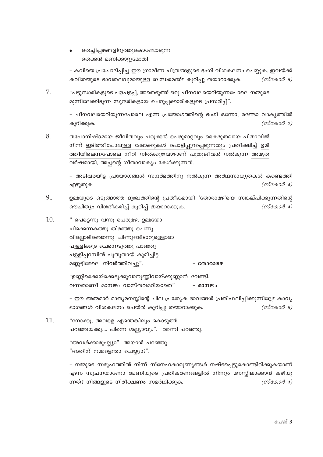തെച്ചിപ്പഴങ്ങളിറുത്തുകൊണ്ടോടുന്ന തെക്കൻ മണിക്കാറ്റുമോതി

- കവിയെ പ്രചോദിപ്പിച്ച ഈ ഗ്രാമീണ ചിത്രങ്ങളുടെ ഭംഗി വിശകലനം ചെയ്യുക. ഇവയ്ക്ക് കവിതയുടെ ഭാവതലവുമായുള്ള ബന്ധമെന്ത്? കുറിപ്പു തയാറാക്കുക.  $(m$ cass $\vartheta$  6)

7. "പടുസാരികളുടെ പളപളപ്പ്, അതെടുത്ത് ഒരു ചീനവലയെറിയുന്നപോലെ നമ്മുടെ മുന്നിലേക്കിടുന്ന സുന്ദരികളായ ചെറുപ്പക്കാരികളുടെ പ്രസരിപ്പ്".

> - ചീനവലയെറിയുന്നപോലെ എന്ന പ്രയോഗത്തിന്റെ ഭംഗി ഒന്നോ, രണ്ടോ വാകൃത്തിൽ  $(m\alpha\alpha\beta\beta)$ കുറിക്കുക.

8. തപോനിഷ്ഠമായ ജീവിതവും പരുക്കൻ പെരുമാറ്റവും കൈമുതലായ പിതാവിൽ നിന്ന് ഇടിത്തീപോലുള്ള ഷോക്കുകൾ പൊട്ടിപ്പുറപ്പെടുന്നതും പ്രതീക്ഷിച്ച് ഉമി ത്തീയിലെന്നപോലെ നീറി നിൽക്കുമ്പോഴാണ് പുതുജീവൻ നൽകുന്ന അമൃത വർഷമായി, അച്ഛന്റെ ഗീതാവാക്യം കേൾക്കുന്നത്.

> - അടിവരയിട്ട പ്രയോഗങ്ങൾ സന്ദർഭത്തിനു നൽകുന്ന അർഥസാധ്യതകൾ കണ്ടെത്തി  $(m \cos \theta 4)$ എഴുതുക.

- 9.. ഉമ്മയുടെ ഒടുങ്ങാത്ത ദുഃഖത്തിന്റെ പ്രതീകമായി 'തോരാമഴ'യെ സങ്കല്പിക്കുന്നതിന്റെ ഔചിത്യം വിശദീകരിച്ച് കുറിപ്പ് തയാറാക്കുക.  $(m \cos \theta 4)$
- 10. " പെട്ടെന്നു വന്നൂ പെരുമഴ, ഉമ്മയോ ചിക്കെന്നകത്തു തിരഞ്ഞു ചെന്നു വിലൊടിഞ്ഞെന്നു ചിണുങ്ങിടാറുള്ളൊരാ പുള്ളിക്കുട ചെന്നെടുത്തു പാഞ്ഞു പള്ളിപ്പറമ്പിൽ പുതുതായ് കുമിച്ചിട്ട മണ്ണട്ടിമേലെ നിവർത്തിവച്ചു". - തോരാമഴ

"ഉണ്ണിക്കൈയ്ക്കെടുക്കുവാനുണ്ണിവായ്ക്കുണ്ണാൻ വേണ്ടി, വന്നതാണീ മാമ്പഴം വാസ്തവമറിയാതെ" - മാമ്പഴം

– ഈ അമ്മമാർ മാതൃമനസ്സിന്റെ ചില പ്രത്യേക ഭാവങ്ങൾ പ്രതിഫലിപ്പിക്കുന്നില്ലേ? കാവൃ ഭാഗങ്ങൾ വിശകലനം ചെയ്ത് കുറിപ്പു തയാറാക്കുക.  $(m \cos \theta)$ 

11. "നോക്കു, അവളെ എന്തെങ്കിലും കൊടുത്ത് പറഞ്ഞയക്കു.... പിന്നെ ശല്ല്യാവും". രമണി പറഞ്ഞു.

> "അവൾക്കാരുംല്ല്യാ". അയാൾ പറഞ്ഞു "അതിന് നമ്മളെന്താ ചെയ്യ്യാ?".

– നമ്മുടെ സമൂഹത്തിൽ നിന്ന് സ്നേഹകാരുണ്യങ്ങൾ നഷ്ടപ്പെട്ടുകൊണ്ടിരിക്കുകയാണ് എന്ന സൂചനയാണോ രമണിയുടെ പ്രതികരണങ്ങളിൽ നിന്നും മനസ്സിലാക്കാൻ കഴിയു ന്നത്? നിങ്ങളുടെ നിരീക്ഷണം സമർഥിക്കുക.  $(m \cos \theta 4)$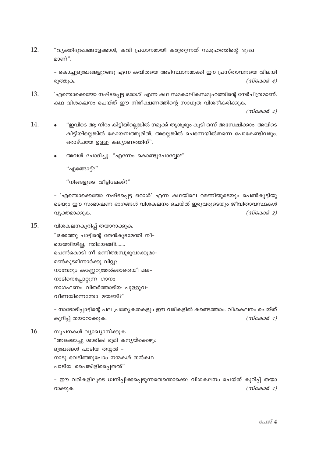$12.$ "വ്യക്തിദുഃഖങ്ങളേക്കാൾ, കവി പ്രധാനമായി കരുതുന്നത് സമൂഹത്തിന്റെ ദുഃഖ മാണ്"

> - കൊച്ചുദുഃഖങ്ങളുറങ്ങു എന്ന കവിതയെ അടിസ്ഥാനമാക്കി ഈ പ്രസ്താവനയെ വിലയി  $(m \cos \theta 4)$ രുത്തുക.

13. 'എന്തൊക്കെയോ നഷ്ടപ്പെട്ട ഒരാൾ' എന്ന കഥ സമകാലികസമൂഹത്തിന്റെ നേർചിത്രമാണ്. കഥ വിശകലനം ചെയ്ത് ഈ നിരീക്ഷണത്തിന്റെ സാധുത വിശദീകരിക്കുക.

 $(m\alpha A \alpha A)$ 

- 14. "ഇവിടെ ആ നിറം കിട്ടിയില്ലെങ്കിൽ നമുക്ക് തൃശൂരും കൂടി ഒന്ന് അന്വേഷിക്കാം. അവിടെ കിട്ടിയില്ലെങ്കിൽ കോയമ്പത്തൂരിൽ, അല്ലെങ്കിൽ ചെന്നെയിൽതന്നെ പോകേണ്ടിവരും. ഒരാഴ്ചയേ ഉള്ളു കല്യാണത്തിന്".
	- അവൾ ചോദിച്ചു. "എന്നേം കൊണ്ടുപോവ്വോ?"

"എങ്ങോട്ട്?"

"നിങ്ങളുടെ വീട്ടിലേക്ക്?"

- 'എന്തൊക്കെയോ നഷ്ടപ്പെട്ട ഒരാൾ' എന്ന കഥയിലെ രമണിയുടെയും പെൺകുട്ടിയു ടെയും ഈ സംഭാഷണ ഭാഗങ്ങൾ വിശകലനം ചെയ്ത് ഇരുവരുടെയും ജീവിതാവസ്ഥകൾ  $(m \cos \theta 2)$ വ്യക്തമാക്കുക.

15. വിശകലനകുറിപ്പ് തയാറാക്കുക. "ഒക്കത്തു പാട്ടിന്റെ തേൻകുടമേന്തി നീ– യെത്തിയില്ല, ന്തിമയങ്ങി!....... പെൺകൊടി നീ മണിത്തമ്പൂരുവാക്കുമാ-മൺകുടമിന്നാർക്കു വിറ്റു? നാവേറും കണ്ണേറുമേൽക്കാതെയീ മല-നാടിനെപ്പോറ്റുന്ന ഗാനം നാഗഫണം വിതർത്താടിയ പുള്ളുവ-വീണയിന്നെന്തോ മയങ്ങി?"

> - നാടോടിപ്പാട്ടിന്റെ പല പ്രത്യേകതകളും ഈ വരികളിൽ കണ്ടെത്താം. വിശകലനം ചെയ്ത് കുറിപ്പ് തയാറാക്കുക.  $(m \cos \theta 4)$

16. സുചനകൾ വ്യാഖ്യാനിക്കുക "അക്കൊച്ചു ശാരിക! ഭൂമി കന്യയ്ക്കെഴും ദുഃഖങ്ങൾ പാടിയ തയ്യൽ -നാടു വെടിഞ്ഞുപോം നന്മകൾ തൻകഥ പാടിയ പൈങ്കിളിപ്പൈതൽ"

> – ഈ വരികളിലൂടെ ധ്വനിപ്പിക്കപ്പെടുന്നതെന്തൊക്കെ? വിശകലനം ചെയ്ത് കുറിപ്പ് തയാ  $(m\ddot{c} \triangle 3\ddot{d} + 4)$ റാക്കുക.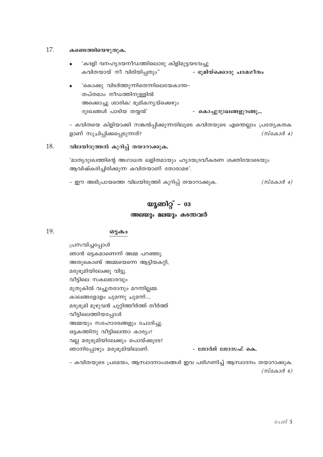#### 17. കണ്ടെത്തിയെഴുതുക.

- 'കദളി വനഹ്യദയനീഡത്തിലൊരു കിളിമുട്ടയടവച്ചു കവിതയായ് നീ വിരിയിപ്പതും" - ഭൂമിയ്ക്കൊരു ചരമഗീതം
- 'കൊക്കു വിടർത്തുന്നിതെന്നിലെയേകാന്ത– തപ്തമാം നീഡത്തിനുള്ളിൽ അക്കൊച്ചു ശാരിക! ഭൂമികന്യയ്ക്കെഴും ദുഃഖങ്ങൾ പാടിയ തയ്യൽ' - കൊച്ചുദുഃഖങ്ങളുറങ്ങു...

- കവിതയെ കിളിയാക്കി സങ്കൽപ്പിക്കുന്നതിലൂടെ കവിതയുടെ എന്തെല്ലാം പ്രത്യേകതക ളാണ് സൂചിപ്പിക്കപ്പെടുന്നത്?  $(m\tilde{\cos}\omega\tilde{\cos}4)$ 

## 18. വിലയിരുത്തൽ കുറിപ്പ് തയാറാക്കുക.

'മാതൃദുഃഖത്തിന്റെ അഗാധത ലളിതമായും ഹൃദയദ്രവീകരണ ശക്തിയോടെയും ആവിഷ്കരിച്ചിരിക്കുന്ന കവിതയാണ് തോരാമഴ'.

- ഈ അഭിപ്രായത്തെ വിലയിരുത്തി കുറിപ്പ് തയാറാക്കുക.  $(m\epsilon\omega\omega\omega\omega\omega)$ 

# യൂണിറ്റ് –  $03$ അലയും മലയും കടന്നവർ

### 19. ഒട്ടകം

പ്രസവിച്ചപ്പോൾ ഞാൻ ഒട്ടകമാണെന്ന് അമ്മ പറഞ്ഞു. അതുകൊണ്ട് അമ്മയെന്നെ ആട്ടിയകറ്റി, മരുഭൂമിയിലേക്കു വിട്ടു. വീട്ടിലെ സകലഭാരവും മുതുകിൽ വച്ചുതരാനും മറന്നില്ലമ്മ. കാലങ്ങളോളം ചുമന്നു ചുമന്ന്.... മരുഭൂമി മുഴുവൻ ചുറ്റിത്തീർത്ത് തീർത്ത് വീട്ടിലെത്തിയപ്പോൾ അമ്മയും സഹോദരങ്ങളും ചോദിച്ചു. ഒട്ടകത്തിനു വീട്ടിലെന്താ കാര്യം? വല്ല മരുഭൂമിയിലേക്കും പൊയ്ക്കൂടേ? ഞാനിപ്പോഴും മരുഭൂമിയിലാണ്. - ജോർജ് ജോസഫ് കെ.

- കവിതയുടെ പ്രമേയം, ആസ്വാദനാംശങ്ങൾ ഇവ പരിഗണിച്ച് ആസ്വാദനം തയാറാക്കുക.  $(m \cos \theta \sin \theta)$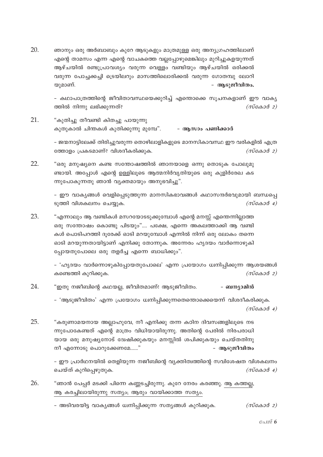20. ഞാനും ഒരു അർബാബും കുറേ ആടുകളും മാത്രമുള്ള ഒരു അന്യഗ്രഹത്തിലാണ് എന്റെ താമസം എന്ന എന്റെ വാചകത്തെ വല്ലപ്പോഴുമെങ്കിലും മുറിച്ചുകളയുന്നത് ആഴ്ചയിൽ രണ്ടുപ്രാവശ്യം വരുന്ന വെള്ളം വണ്ടിയും ആഴ്ചയിൽ ഒരിക്കൽ വരുന്ന പോച്ചക്കച്ചി ട്രെയിലറും മാസത്തിലൊരിക്കൽ വരുന്ന ഗോതമ്പു ലോറി യുമാണ്. - ആടുജീവിതം.

> - കഥാപാത്രത്തിന്റെ ജീവിതാവസ്ഥയെക്കുറിച്ച് എന്തൊക്കെ സുചനകളാണ് ഈ വാകൃ ത്തിൽ നിന്നു ലഭിക്കുന്നത്?  $(m \cos \theta 2)$

21. "കുതിച്ചു തീവണ്ടി കിതച്ചു പായുന്നു കുതുകാൽ ചിന്തകൾ കുതിക്കുന്നു മുമ്പേ". - ആസാം പണിക്കാർ

> - ജന്മനാട്ടിലേക്ക് തിരിച്ചുവരുന്ന തൊഴിലാളികളുടെ മാനസികാവസ്ഥ ഈ വരികളിൽ എത്ര ത്തോളം പ്രകടമാണ്? വിശദീകരിക്കുക.  $(m\alpha\alpha\beta\alpha)$

22. "ഒരു മനുഷ്യനെ കണ്ട സന്തോഷത്തിൽ ഞാനയാളെ ഒന്നു തൊടുക പോലുമു ണ്ടായി. അപ്പോൾ എന്റെ ഉള്ളിലൂടെ ആത്മനിർവൃതിയുടെ ഒരു കുളിർരേഖ കട ന്നുപോകുന്നതു ഞാൻ വ്യക്തമായും അനുഭവിച്ചു".

> - ഈ വാക്യങ്ങൾ വെളിപ്പെടുത്തുന്ന മാനസികഭാവങ്ങൾ കഥാസന്ദർഭവുമായി ബന്ധപ്പെ  $(m\tilde{\cos}a\tilde{\cos}a)$ ടുത്തി വിശകലനം ചെയ്യുക.

23. "എന്നാലും ആ വണ്ടികൾ മസറയോടടുക്കുമ്പോൾ എന്റെ മനസ്സ് എന്തെന്നില്ലാത്ത ഒരു സന്തോഷം കൊണ്ടു പിടയും".... പക്ഷേ, എന്നെ അകലത്താക്കി ആ വണ്ടി കൾ പൊടിപറത്തി ദുരേക്ക് ഓടി മറയുമ്പോൾ എന്നിൽ നിന്ന് ഒരു ലോകം തന്നെ ഓടി മറയുന്നതായിട്ടാണ് എനിക്കു തോന്നുക. അന്നേരം ഹൃദയം വാർന്നൊഴുകി പ്പോയതുപോലെ ഒരു തളർച്ച എന്നെ ബാധിക്കും".

> - 'ഹൃദയം വാർന്നൊഴുകിപ്പോയതുപോലെ' എന്ന പ്രയോഗം ധ്വനിപ്പിക്കുന്ന ആശയങ്ങൾ കണ്ടെത്തി കുറിക്കുക.  $(m\tilde{\cos}a\tilde{\cos}a)$

24. "ഇതു നജീബിന്റെ കഥയല്ല, ജീവിതമാണ്! ആടുജീവിതം. - ബന്യാമിൻ

> – 'ആടുജീവിതം' എന്ന പ്രയോഗം ധ്വനിപ്പിക്കുന്നതെന്തൊക്കെയെന്ന് വിശദീകരിക്കുക.  $(m \cos \theta 4)$

25. "കരുണാമയനായ അല്ലാഹുവേ, നീ എനിക്കു തന്ന കഠിന ദിവസങ്ങളിലൂടെ നട ന്നുപോകേണ്ടത് എന്റെ മാത്രം വിധിയായിരുന്നു. അതിന്റെ പേരിൽ നിരപരാധി യായ ഒരു മനുഷ്യനോട് ദ്വേഷിക്കുകയും മനസ്സിൽ ശപിക്കുകയും ചെയ്തതിനു നീ എന്നോടു പൊറുക്കേണമേ......" - ആടുജീവിതം

> - ഈ പ്രാർഥനയിൽ തെളിയുന്ന നജീബിന്റെ വ്യക്തിത്വത്തിന്റെ സവിശേഷത വിശകലനം ചെയ്ത് കുറിപ്പെഴുതുക.  $(m\alpha\beta\alpha\beta\alpha)$

26. "ഞാൻ പേപ്പർ മടക്കി പിന്നെ കണ്ണടച്ചിരുന്നു. കുറേ നേരം കരഞ്ഞു. ആ കത്തല്ല, ആ കരച്ചിലായിരുന്നു സത്യം; ആരും വായിക്കാത്ത സത്യം.

> - അടിവരയിട്ട വാകൃങ്ങൾ ധ്വനിപ്പിക്കുന്ന സതൃങ്ങൾ കുറിക്കുക.  $(m\tilde{\mathcal{C}}_{\mathcal{A}}\mathcal{A}_{\mathcal{A}})$

> > $Gol\mathcal{Z}6$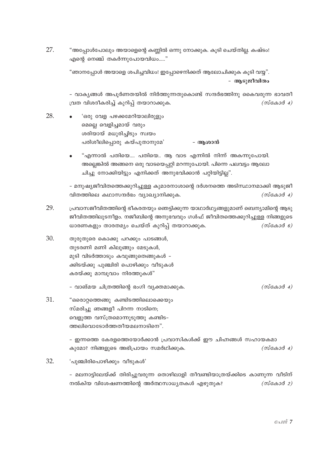27. "അപ്പോൾപോലും അയാളെന്റെ കണ്ണിൽ ഒന്നു നോക്കുക. കൂടി ചെയ്തില്ല. കഷ്ടം! എന്റെ നെഞ്ച് തകർന്നുപോയവിധം....."

> "ഞാനപ്പോൾ അയാളെ ശപിച്ചവിധം! ഇപ്പോഴെനിക്കത് ആലോചിക്കുക കൂടി വയ്മ". - ആടുജീവിതം

- വാക്യങ്ങൾ അപൂർണതയിൽ നിർത്തുന്നതുകൊണ്ട് സന്ദർഭത്തിനു കൈവരുന്ന ഭാവതീ വ്രത വിശദീകരിച്ച് കുറിപ്പ് തയാറാക്കുക.  $(m \cos \theta 4)$ 

- 28. 'ഒരു വേള പഴക്കമേറിയാലിരുളും മെല്ലെ വെളിച്ചമായ് വരും ശരിയായ് മധുരിച്ചിടും സ്വയം പരിശീലിപ്പൊരു കയ്പുതാനുമേ' - ആശാൻ
	- "എന്നാൽ പതിയെ…. പതിയെ.. ആ വാട എന്നിൽ നിന്ന് അകന്നുപോയി. അല്ലെങ്കിൽ അങ്ങനെ ഒരു വാടയെപ്പറ്റി മറന്നുപോയി. പിന്നെ പലവട്ടം ആലോ ചിച്ചു നോക്കിയിട്ടും എനിക്കത് അനുഭവിക്കാൻ പറ്റിയിട്ടില്ല".

- മനുഷ്യജീവിതത്തെക്കുറിച്ചുള്ള കുമാരനാശാന്റെ ദർശനത്തെ അടിസ്ഥാനമാക്കി ആടുജീ വിതത്തിലെ കഥാസന്ദർഭം വ്യാഖ്യാനിക്കുക.  $(m \cos \theta 4)$ 

- 29. പ്രവാസജീവിതത്തിന്റെ ഭീകരതയും ഞെട്ടിക്കുന്ന യാഥാർഥ്യങ്ങളുമാണ് ബെന്യാമിന്റെ ആടു ജീവിതത്തിലുടനീളം. നജീബിന്റെ അനുഭവവും ഗൾഫ് ജീവിതത്തെക്കുറിച്ചുള്ള നിങ്ങളുടെ ധാരണകളും താരതമ്യം ചെയ്ത് കുറിപ്പ് തയാറാക്കുക.  $(m \cos \theta)$
- 30. തുരുതുരെ കൊക്കു പറക്കും പാടങ്ങൾ, തുടരണി മണി കിലുങ്ങും മേടുകൾ, മുടി വിടർത്താടും കവുങ്ങുതെങ്ങുകൾ -ക്കിടയ്ക്കു പുഞ്ചിരി പൊഴിക്കും വീടുകൾ കരയ്ക്കു മാമ്പൂവാം നിരത്തുകൾ"

- വാങ്മയ ചിത്രത്തിന്റെ ഭംഗി വ്യക്തമാക്കുക.

31. "ഒരൊറ്റത്തെങ്ങു കണ്ടിടത്തിലൊക്കെയും സ്മരിച്ചു ഞങ്ങളീ പിറന്ന നാടിനെ; വെളുത്ത വസ്ത്രമൊന്നുടുത്തു കണ്ടിട– ത്തലിവൊടോർത്തതീയമലനാടിനെ".

> - ഇന്നത്തെ കേരളത്തെയോർക്കാൻ പ്രവാസികൾക്ക് ഈ ചിഹ്നങ്ങൾ സഹായകമാ കുമോ? നിങ്ങളുടെ അഭിപ്രായം സമർഥിക്കുക.  $(m \cos \theta 4)$

32. 'പുഞ്ചിരിപൊഴിക്കും വീടുകൾ'

> - മലനാട്ടിലേയ്ക്ക് തിരിച്ചുവരുന്ന തൊഴിലാളി തീവണ്ടിയാത്രയ്ക്കിടെ കാണുന്ന വീടിന് നൽകിയ വിശേഷണത്തിന്റെ അർത്ഥസാധ്യതകൾ എഴുതുക?  $(m\epsilon\omega\omega\omega\omega\omega)$

 $(m \cos \theta 4)$